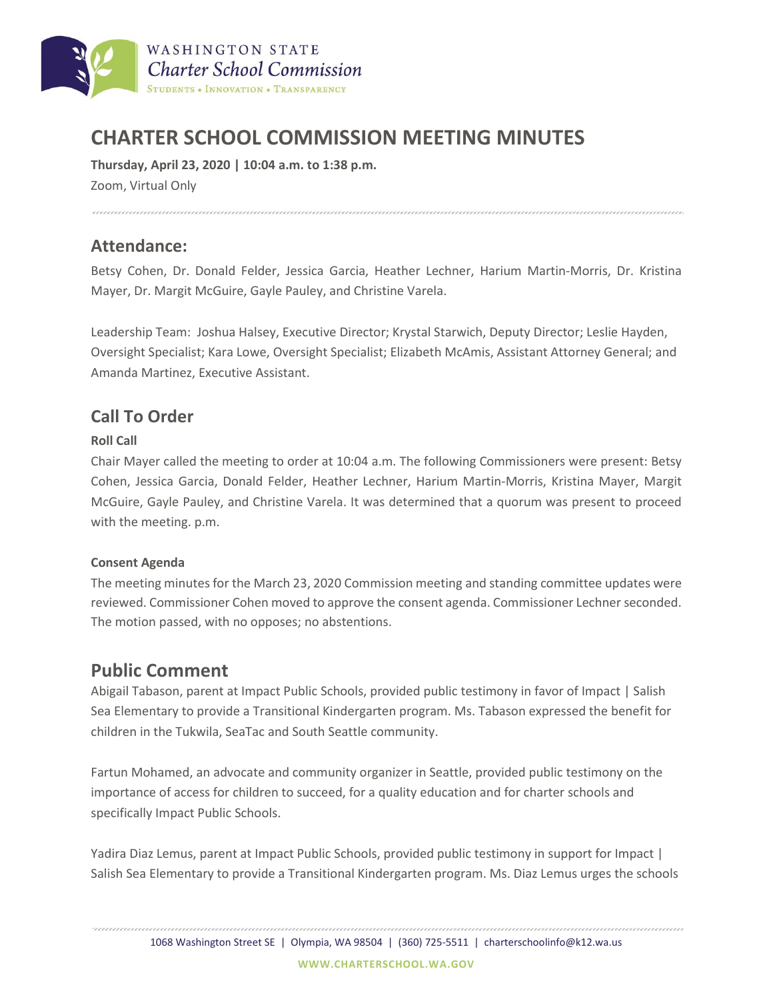

# **CHARTER SCHOOL COMMISSION MEETING MINUTES**

**Thursday, April 23, 2020 | 10:04 a.m. to 1:38 p.m.**

Zoom, Virtual Only

### **Attendance:**

Betsy Cohen, Dr. Donald Felder, Jessica Garcia, Heather Lechner, Harium Martin-Morris, Dr. Kristina Mayer, Dr. Margit McGuire, Gayle Pauley, and Christine Varela.

Leadership Team: Joshua Halsey, Executive Director; Krystal Starwich, Deputy Director; Leslie Hayden, Oversight Specialist; Kara Lowe, Oversight Specialist; Elizabeth McAmis, Assistant Attorney General; and Amanda Martinez, Executive Assistant.

### **Call To Order**

#### **Roll Call**

Chair Mayer called the meeting to order at 10:04 a.m. The following Commissioners were present: Betsy Cohen, Jessica Garcia, Donald Felder, Heather Lechner, Harium Martin-Morris, Kristina Mayer, Margit McGuire, Gayle Pauley, and Christine Varela. It was determined that a quorum was present to proceed with the meeting. p.m.

#### **Consent Agenda**

The meeting minutes for the March 23, 2020 Commission meeting and standing committee updates were reviewed. Commissioner Cohen moved to approve the consent agenda. Commissioner Lechner seconded. The motion passed, with no opposes; no abstentions.

### **Public Comment**

Abigail Tabason, parent at Impact Public Schools, provided public testimony in favor of Impact | Salish Sea Elementary to provide a Transitional Kindergarten program. Ms. Tabason expressed the benefit for children in the Tukwila, SeaTac and South Seattle community.

Fartun Mohamed, an advocate and community organizer in Seattle, provided public testimony on the importance of access for children to succeed, for a quality education and for charter schools and specifically Impact Public Schools.

Yadira Diaz Lemus, parent at Impact Public Schools, provided public testimony in support for Impact | Salish Sea Elementary to provide a Transitional Kindergarten program. Ms. Diaz Lemus urges the schools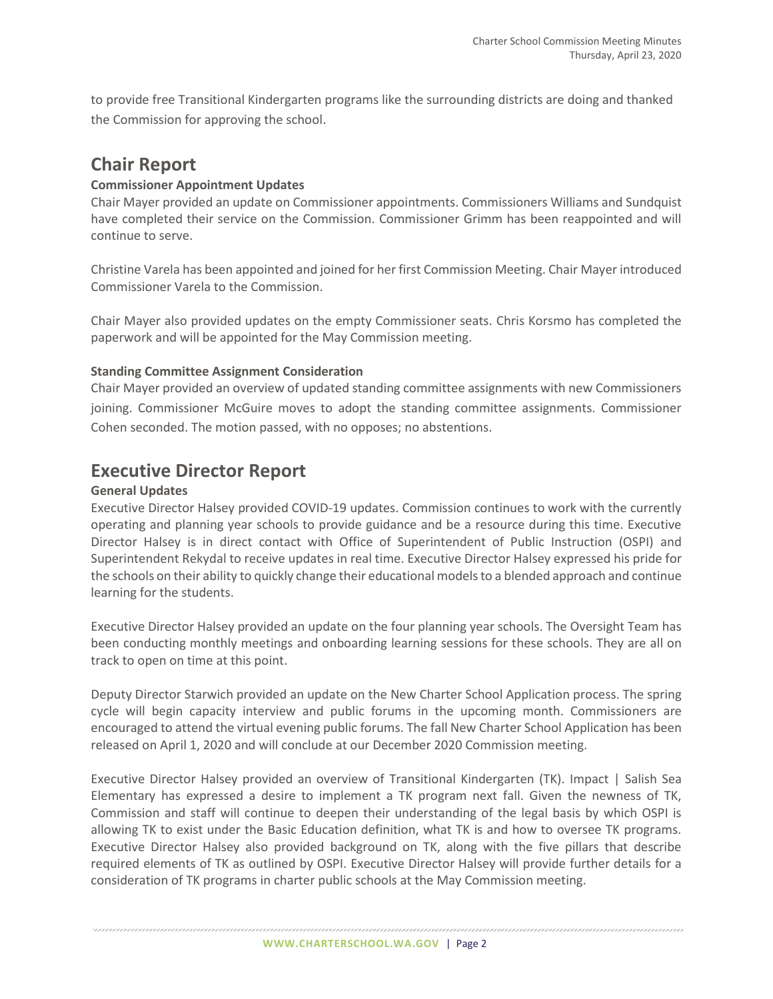to provide free Transitional Kindergarten programs like the surrounding districts are doing and thanked the Commission for approving the school.

### **Chair Report**

#### **Commissioner Appointment Updates**

Chair Mayer provided an update on Commissioner appointments. Commissioners Williams and Sundquist have completed their service on the Commission. Commissioner Grimm has been reappointed and will continue to serve.

Christine Varela has been appointed and joined for her first Commission Meeting. Chair Mayer introduced Commissioner Varela to the Commission.

Chair Mayer also provided updates on the empty Commissioner seats. Chris Korsmo has completed the paperwork and will be appointed for the May Commission meeting.

#### **Standing Committee Assignment Consideration**

Chair Mayer provided an overview of updated standing committee assignments with new Commissioners joining. Commissioner McGuire moves to adopt the standing committee assignments. Commissioner Cohen seconded. The motion passed, with no opposes; no abstentions.

# **Executive Director Report**

#### **General Updates**

Executive Director Halsey provided COVID-19 updates. Commission continues to work with the currently operating and planning year schools to provide guidance and be a resource during this time. Executive Director Halsey is in direct contact with Office of Superintendent of Public Instruction (OSPI) and Superintendent Rekydal to receive updates in real time. Executive Director Halsey expressed his pride for the schools on their ability to quickly change their educational models to a blended approach and continue learning for the students.

Executive Director Halsey provided an update on the four planning year schools. The Oversight Team has been conducting monthly meetings and onboarding learning sessions for these schools. They are all on track to open on time at this point.

Deputy Director Starwich provided an update on the New Charter School Application process. The spring cycle will begin capacity interview and public forums in the upcoming month. Commissioners are encouraged to attend the virtual evening public forums. The fall New Charter School Application has been released on April 1, 2020 and will conclude at our December 2020 Commission meeting.

Executive Director Halsey provided an overview of Transitional Kindergarten (TK). Impact | Salish Sea Elementary has expressed a desire to implement a TK program next fall. Given the newness of TK, Commission and staff will continue to deepen their understanding of the legal basis by which OSPI is allowing TK to exist under the Basic Education definition, what TK is and how to oversee TK programs. Executive Director Halsey also provided background on TK, along with the five pillars that describe required elements of TK as outlined by OSPI. Executive Director Halsey will provide further details for a consideration of TK programs in charter public schools at the May Commission meeting.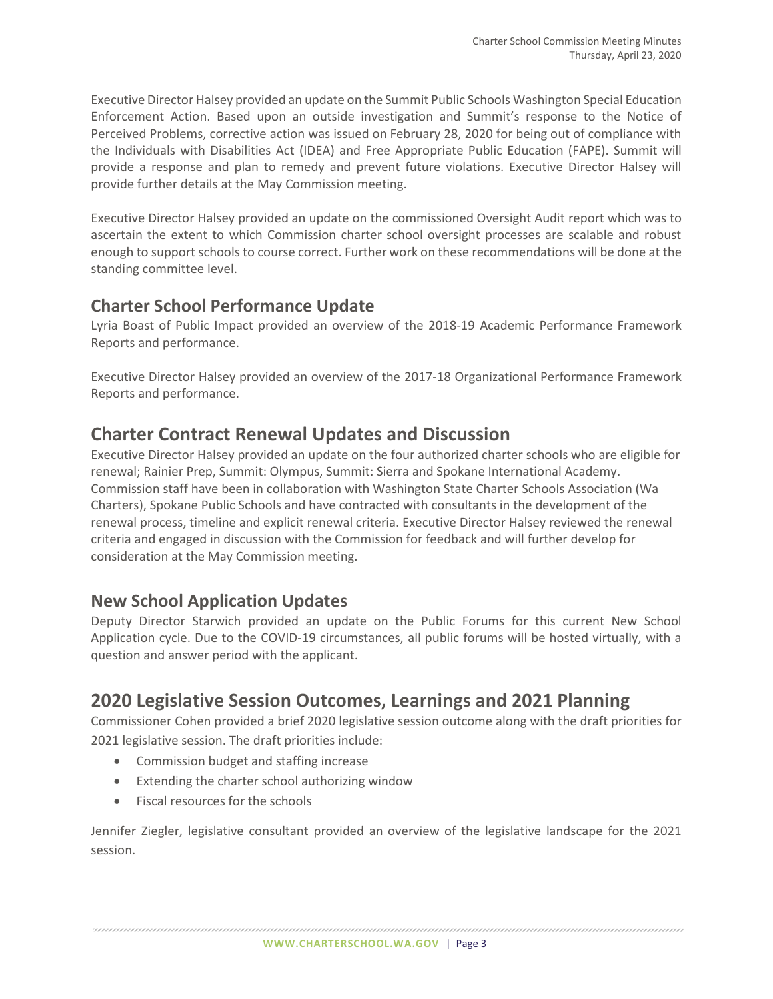Executive Director Halsey provided an update on the Summit Public Schools Washington Special Education Enforcement Action. Based upon an outside investigation and Summit's response to the Notice of Perceived Problems, corrective action was issued on February 28, 2020 for being out of compliance with the Individuals with Disabilities Act (IDEA) and Free Appropriate Public Education (FAPE). Summit will provide a response and plan to remedy and prevent future violations. Executive Director Halsey will provide further details at the May Commission meeting.

Executive Director Halsey provided an update on the commissioned Oversight Audit report which was to ascertain the extent to which Commission charter school oversight processes are scalable and robust enough to support schools to course correct. Further work on these recommendations will be done at the standing committee level.

# **Charter School Performance Update**

Lyria Boast of Public Impact provided an overview of the 2018-19 Academic Performance Framework Reports and performance.

Executive Director Halsey provided an overview of the 2017-18 Organizational Performance Framework Reports and performance.

# **Charter Contract Renewal Updates and Discussion**

Executive Director Halsey provided an update on the four authorized charter schools who are eligible for renewal; Rainier Prep, Summit: Olympus, Summit: Sierra and Spokane International Academy. Commission staff have been in collaboration with Washington State Charter Schools Association (Wa Charters), Spokane Public Schools and have contracted with consultants in the development of the renewal process, timeline and explicit renewal criteria. Executive Director Halsey reviewed the renewal criteria and engaged in discussion with the Commission for feedback and will further develop for consideration at the May Commission meeting.

### **New School Application Updates**

Deputy Director Starwich provided an update on the Public Forums for this current New School Application cycle. Due to the COVID-19 circumstances, all public forums will be hosted virtually, with a question and answer period with the applicant.

# **2020 Legislative Session Outcomes, Learnings and 2021 Planning**

Commissioner Cohen provided a brief 2020 legislative session outcome along with the draft priorities for 2021 legislative session. The draft priorities include:

- Commission budget and staffing increase
- Extending the charter school authorizing window
- Fiscal resources for the schools

Jennifer Ziegler, legislative consultant provided an overview of the legislative landscape for the 2021 session.